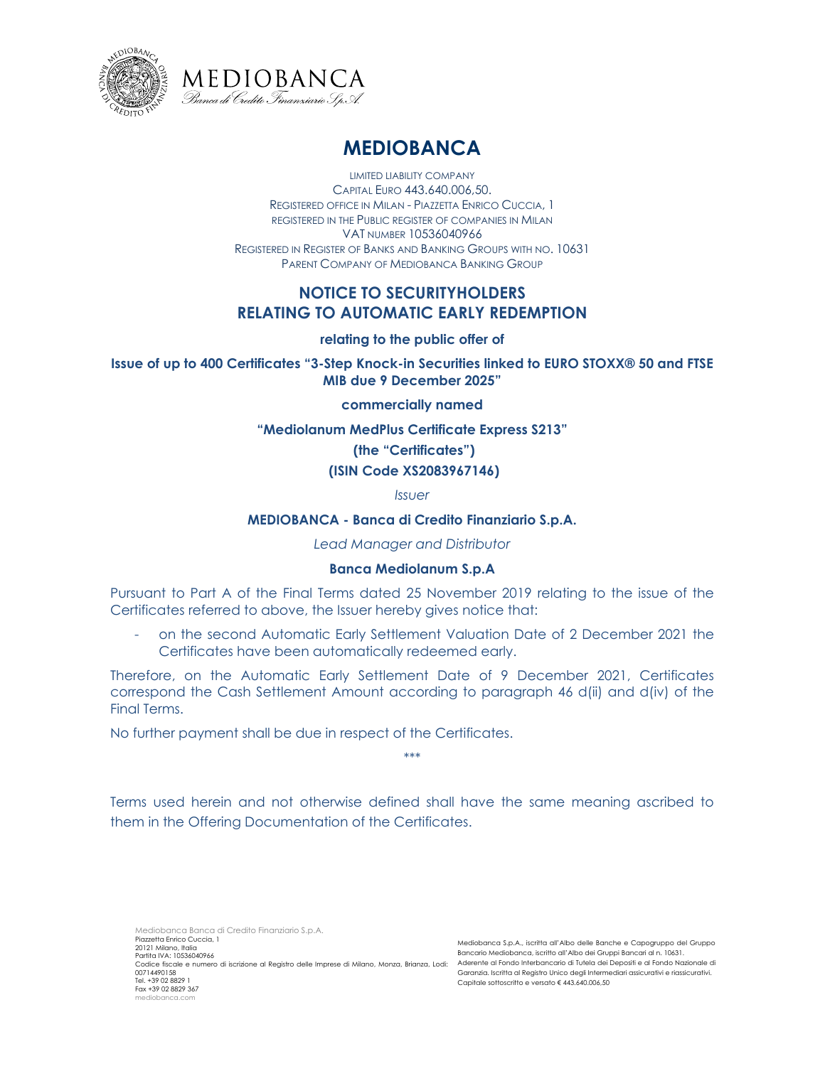



# **MEDIOBANCA**

LIMITED LIABILITY COMPANY CAPITAL EURO 443.640.006,50. REGISTERED OFFICE IN MILAN - PIAZZETTA ENRICO CUCCIA, 1 REGISTERED IN THE PUBLIC REGISTER OF COMPANIES IN MILAN VAT NUMBER 10536040966 REGISTERED IN REGISTER OF BANKS AND BANKING GROUPS WITH NO. 10631 PARENT COMPANY OF MEDIOBANCA BANKING GROUP

# **NOTICE TO SECURITYHOLDERS RELATING TO AUTOMATIC EARLY REDEMPTION**

# **relating to the public offer of**

**Issue of up to 400 Certificates "3-Step Knock-in Securities linked to EURO STOXX® 50 and FTSE MIB due 9 December 2025"**

## **commercially named**

**"Mediolanum MedPlus Certificate Express S213"** 

# **(the "Certificates")**

## **(ISIN Code XS2083967146)**

*Issuer* 

## **MEDIOBANCA - Banca di Credito Finanziario S.p.A.**

*Lead Manager and Distributor*

#### **Banca Mediolanum S.p.A**

Pursuant to Part A of the Final Terms dated 25 November 2019 relating to the issue of the Certificates referred to above, the Issuer hereby gives notice that:

- on the second Automatic Early Settlement Valuation Date of 2 December 2021 the Certificates have been automatically redeemed early.

Therefore, on the Automatic Early Settlement Date of 9 December 2021, Certificates correspond the Cash Settlement Amount according to paragraph 46 d(ii) and d(iv) of the Final Terms.

\*\*\*

No further payment shall be due in respect of the Certificates.

Terms used herein and not otherwise defined shall have the same meaning ascribed to them in the Offering Documentation of the Certificates.